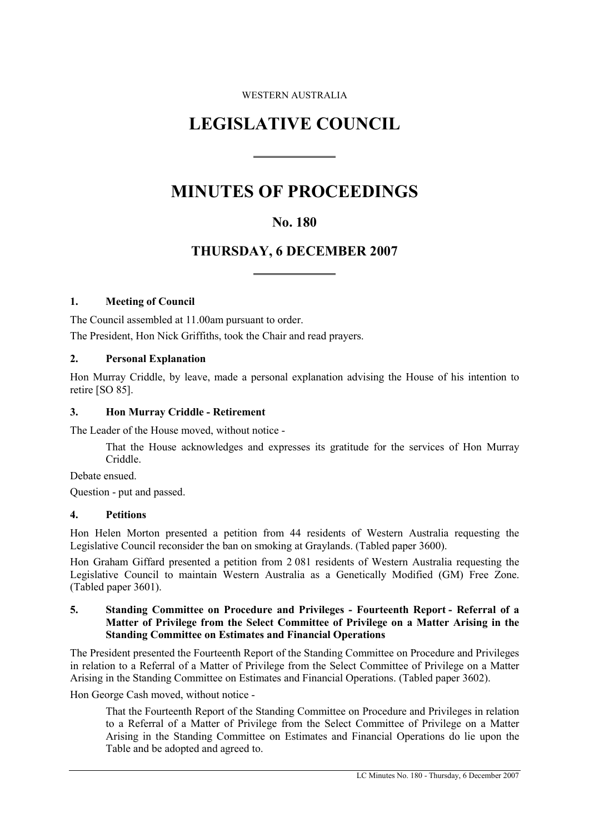#### WESTERN AUSTRALIA

# **LEGISLATIVE COUNCIL**

 $\overline{a}$ 

 $\overline{a}$ 

# **MINUTES OF PROCEEDINGS**

## **No. 180**

## **THURSDAY, 6 DECEMBER 2007**

#### **1. Meeting of Council**

The Council assembled at 11.00am pursuant to order. The President, Hon Nick Griffiths, took the Chair and read prayers.

#### **2. Personal Explanation**

Hon Murray Criddle, by leave, made a personal explanation advising the House of his intention to retire [SO 85].

#### **3. Hon Murray Criddle - Retirement**

The Leader of the House moved, without notice -

That the House acknowledges and expresses its gratitude for the services of Hon Murray Criddle.

Debate ensued.

Question - put and passed.

#### **4. Petitions**

Hon Helen Morton presented a petition from 44 residents of Western Australia requesting the Legislative Council reconsider the ban on smoking at Graylands. (Tabled paper 3600).

Hon Graham Giffard presented a petition from 2 081 residents of Western Australia requesting the Legislative Council to maintain Western Australia as a Genetically Modified (GM) Free Zone. (Tabled paper 3601).

#### **5. Standing Committee on Procedure and Privileges - Fourteenth Report - Referral of a Matter of Privilege from the Select Committee of Privilege on a Matter Arising in the Standing Committee on Estimates and Financial Operations**

The President presented the Fourteenth Report of the Standing Committee on Procedure and Privileges in relation to a Referral of a Matter of Privilege from the Select Committee of Privilege on a Matter Arising in the Standing Committee on Estimates and Financial Operations. (Tabled paper 3602).

Hon George Cash moved, without notice -

That the Fourteenth Report of the Standing Committee on Procedure and Privileges in relation to a Referral of a Matter of Privilege from the Select Committee of Privilege on a Matter Arising in the Standing Committee on Estimates and Financial Operations do lie upon the Table and be adopted and agreed to.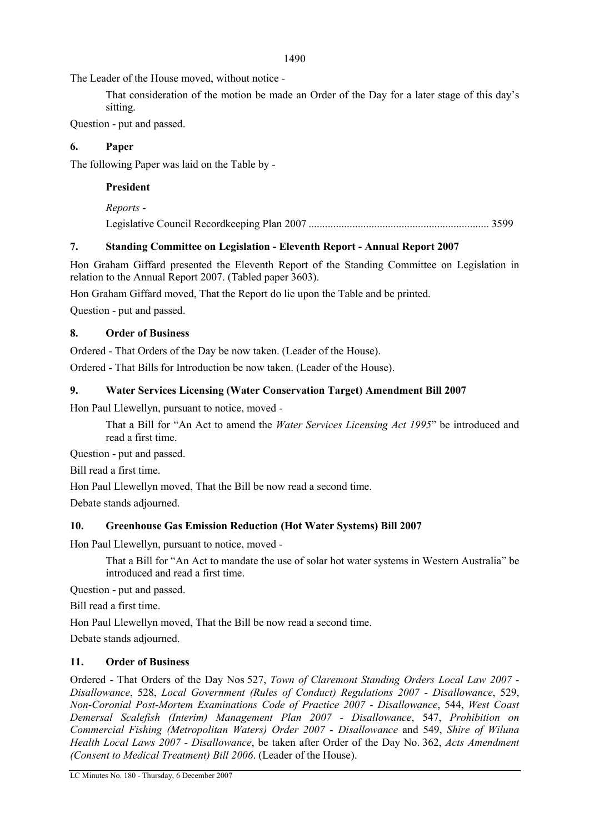The Leader of the House moved, without notice -

That consideration of the motion be made an Order of the Day for a later stage of this day's sitting.

Question - put and passed.

#### **6. Paper**

The following Paper was laid on the Table by -

#### **President**

*Reports -* 

Legislative Council Recordkeeping Plan 2007 .................................................................. 3599

### **7. Standing Committee on Legislation - Eleventh Report - Annual Report 2007**

Hon Graham Giffard presented the Eleventh Report of the Standing Committee on Legislation in relation to the Annual Report 2007. (Tabled paper 3603).

Hon Graham Giffard moved, That the Report do lie upon the Table and be printed. Question - put and passed.

### **8. Order of Business**

Ordered - That Orders of the Day be now taken. (Leader of the House).

Ordered - That Bills for Introduction be now taken. (Leader of the House).

#### **9. Water Services Licensing (Water Conservation Target) Amendment Bill 2007**

Hon Paul Llewellyn, pursuant to notice, moved -

That a Bill for "An Act to amend the *Water Services Licensing Act 1995*" be introduced and read a first time.

Question - put and passed.

Bill read a first time.

Hon Paul Llewellyn moved, That the Bill be now read a second time.

Debate stands adjourned.

### **10. Greenhouse Gas Emission Reduction (Hot Water Systems) Bill 2007**

Hon Paul Llewellyn, pursuant to notice, moved -

That a Bill for "An Act to mandate the use of solar hot water systems in Western Australia" be introduced and read a first time.

Question - put and passed.

Bill read a first time.

Hon Paul Llewellyn moved, That the Bill be now read a second time.

Debate stands adjourned.

#### **11. Order of Business**

Ordered - That Orders of the Day Nos 527, *Town of Claremont Standing Orders Local Law 2007 - Disallowance*, 528, *Local Government (Rules of Conduct) Regulations 2007 - Disallowance*, 529, *Non-Coronial Post-Mortem Examinations Code of Practice 2007 - Disallowance*, 544, *West Coast Demersal Scalefish (Interim) Management Plan 2007 - Disallowance*, 547, *Prohibition on Commercial Fishing (Metropolitan Waters) Order 2007 - Disallowance* and 549, *Shire of Wiluna Health Local Laws 2007 - Disallowance*, be taken after Order of the Day No. 362, *Acts Amendment (Consent to Medical Treatment) Bill 2006*. (Leader of the House).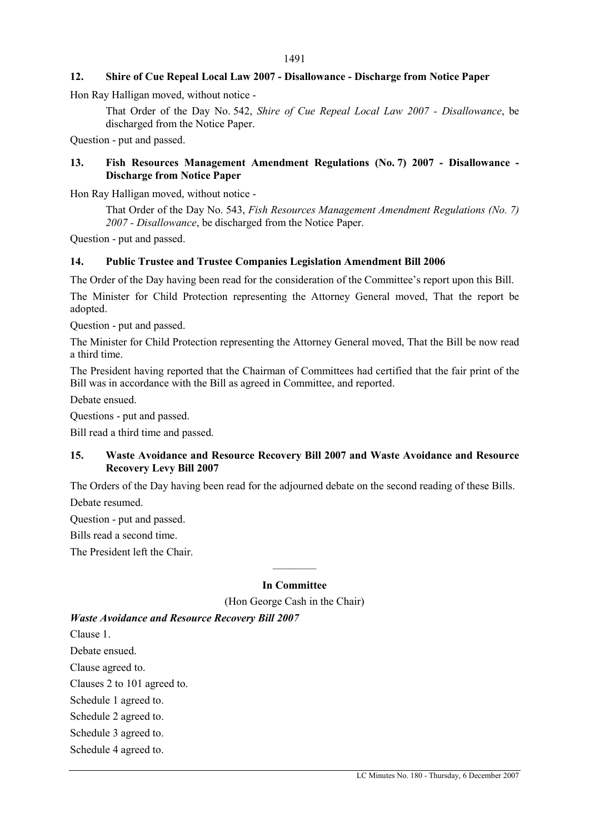#### **12. Shire of Cue Repeal Local Law 2007 - Disallowance - Discharge from Notice Paper**

Hon Ray Halligan moved, without notice -

That Order of the Day No. 542, *Shire of Cue Repeal Local Law 2007 - Disallowance*, be discharged from the Notice Paper.

Question - put and passed.

#### **13. Fish Resources Management Amendment Regulations (No. 7) 2007 - Disallowance - Discharge from Notice Paper**

Hon Ray Halligan moved, without notice -

That Order of the Day No. 543, *Fish Resources Management Amendment Regulations (No. 7) 2007 - Disallowance*, be discharged from the Notice Paper.

Question - put and passed.

#### **14. Public Trustee and Trustee Companies Legislation Amendment Bill 2006**

The Order of the Day having been read for the consideration of the Committee's report upon this Bill.

The Minister for Child Protection representing the Attorney General moved, That the report be adopted.

Question - put and passed.

The Minister for Child Protection representing the Attorney General moved, That the Bill be now read a third time.

The President having reported that the Chairman of Committees had certified that the fair print of the Bill was in accordance with the Bill as agreed in Committee, and reported.

Debate ensued.

Questions - put and passed.

Bill read a third time and passed.

#### **15. Waste Avoidance and Resource Recovery Bill 2007 and Waste Avoidance and Resource Recovery Levy Bill 2007**

The Orders of the Day having been read for the adjourned debate on the second reading of these Bills. Debate resumed.

Question - put and passed.

Bills read a second time.

The President left the Chair.

### ———— **In Committee**

(Hon George Cash in the Chair)

#### *Waste Avoidance and Resource Recovery Bill 2007*

Clause 1. Debate ensued. Clause agreed to. Clauses 2 to 101 agreed to. Schedule 1 agreed to. Schedule 2 agreed to. Schedule 3 agreed to. Schedule 4 agreed to.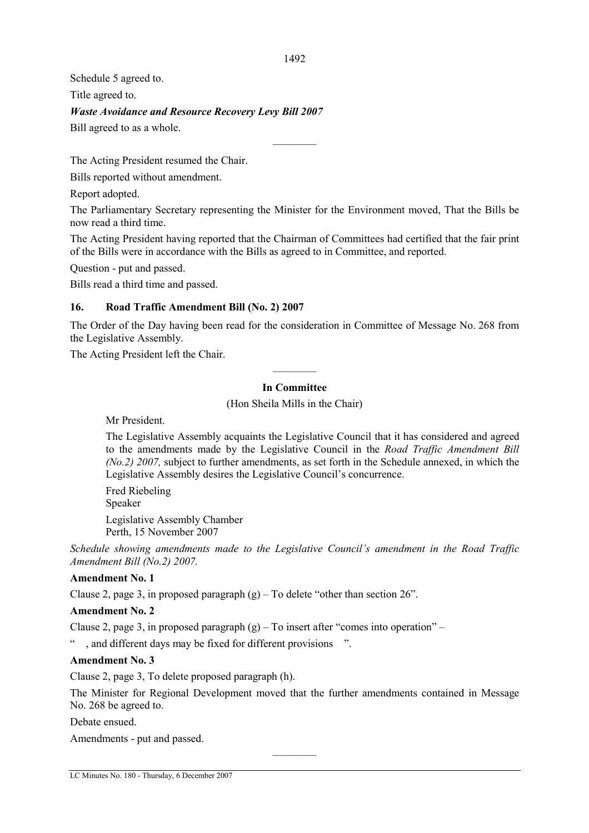Schedule 5 agreed to.

Title agreed to.

*Waste Avoidance and Resource Recovery Levy Bill 2007* 

Bill agreed to as a whole.

The Acting President resumed the Chair.

Bills reported without amendment.

Report adopted.

The Parliamentary Secretary representing the Minister for the Environment moved, That the Bills be now read a third time.

————

The Acting President having reported that the Chairman of Committees had certified that the fair print of the Bills were in accordance with the Bills as agreed to in Committee, and reported.

Question - put and passed.

Bills read a third time and passed.

#### **16. Road Traffic Amendment Bill (No. 2) 2007**

The Order of the Day having been read for the consideration in Committee of Message No. 268 from the Legislative Assembly.

The Acting President left the Chair.

### ———— **In Committee**

(Hon Sheila Mills in the Chair)

Mr President.

The Legislative Assembly acquaints the Legislative Council that it has considered and agreed to the amendments made by the Legislative Council in the *Road Traffic Amendment Bill (No.2) 2007,* subject to further amendments, as set forth in the Schedule annexed, in which the Legislative Assembly desires the Legislative Council's concurrence.

Fred Riebeling Speaker Legislative Assembly Chamber

Perth, 15 November 2007

*Schedule showing amendments made to the Legislative Council's amendment in the Road Traffic Amendment Bill (No.2) 2007.* 

#### **Amendment No. 1**

Clause 2, page 3, in proposed paragraph  $(g)$  – To delete "other than section 26".

#### **Amendment No. 2**

Clause 2, page 3, in proposed paragraph  $(g)$  – To insert after "comes into operation" –

, and different days may be fixed for different provisions ".

#### **Amendment No. 3**

Clause 2, page 3, To delete proposed paragraph (h).

The Minister for Regional Development moved that the further amendments contained in Message No. 268 be agreed to.

————

Debate ensued.

Amendments - put and passed.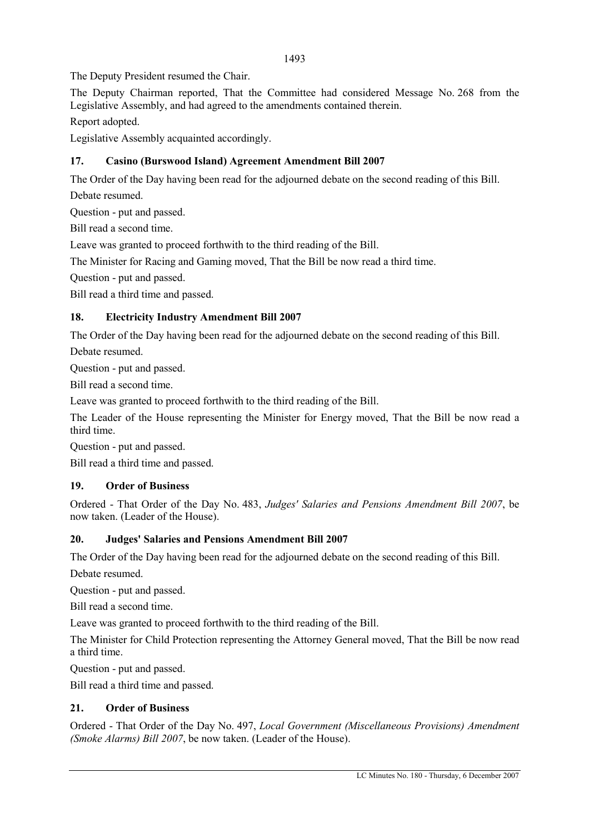The Deputy President resumed the Chair.

The Deputy Chairman reported, That the Committee had considered Message No. 268 from the Legislative Assembly, and had agreed to the amendments contained therein.

Report adopted.

Legislative Assembly acquainted accordingly.

## **17. Casino (Burswood Island) Agreement Amendment Bill 2007**

The Order of the Day having been read for the adjourned debate on the second reading of this Bill. Debate resumed.

Question - put and passed.

Bill read a second time.

Leave was granted to proceed forthwith to the third reading of the Bill.

The Minister for Racing and Gaming moved, That the Bill be now read a third time.

Question - put and passed.

Bill read a third time and passed.

## **18. Electricity Industry Amendment Bill 2007**

The Order of the Day having been read for the adjourned debate on the second reading of this Bill.

Debate resumed.

Question - put and passed.

Bill read a second time.

Leave was granted to proceed forthwith to the third reading of the Bill.

The Leader of the House representing the Minister for Energy moved, That the Bill be now read a third time.

Question - put and passed.

Bill read a third time and passed.

### **19. Order of Business**

Ordered - That Order of the Day No. 483, *Judges' Salaries and Pensions Amendment Bill 2007*, be now taken. (Leader of the House).

### **20. Judges' Salaries and Pensions Amendment Bill 2007**

The Order of the Day having been read for the adjourned debate on the second reading of this Bill.

Debate resumed.

Question - put and passed.

Bill read a second time.

Leave was granted to proceed forthwith to the third reading of the Bill.

The Minister for Child Protection representing the Attorney General moved, That the Bill be now read a third time.

Question - put and passed.

Bill read a third time and passed.

### **21. Order of Business**

Ordered - That Order of the Day No. 497, *Local Government (Miscellaneous Provisions) Amendment (Smoke Alarms) Bill 2007*, be now taken. (Leader of the House).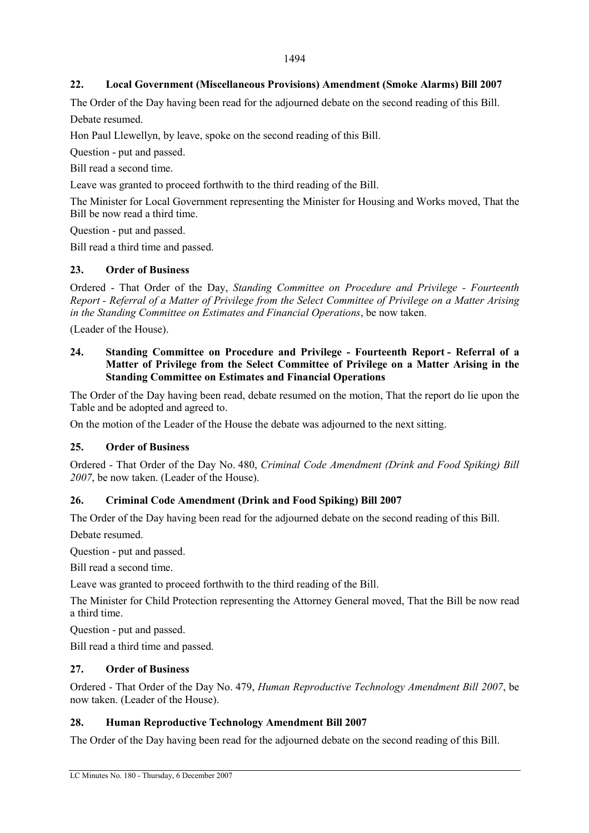#### **22. Local Government (Miscellaneous Provisions) Amendment (Smoke Alarms) Bill 2007**

The Order of the Day having been read for the adjourned debate on the second reading of this Bill. Debate resumed.

Hon Paul Llewellyn, by leave, spoke on the second reading of this Bill.

Question - put and passed.

Bill read a second time.

Leave was granted to proceed forthwith to the third reading of the Bill.

The Minister for Local Government representing the Minister for Housing and Works moved, That the Bill be now read a third time.

Question - put and passed.

Bill read a third time and passed.

#### **23. Order of Business**

Ordered - That Order of the Day, *Standing Committee on Procedure and Privilege - Fourteenth Report - Referral of a Matter of Privilege from the Select Committee of Privilege on a Matter Arising in the Standing Committee on Estimates and Financial Operations*, be now taken.

(Leader of the House).

#### **24. Standing Committee on Procedure and Privilege - Fourteenth Report - Referral of a Matter of Privilege from the Select Committee of Privilege on a Matter Arising in the Standing Committee on Estimates and Financial Operations**

The Order of the Day having been read, debate resumed on the motion, That the report do lie upon the Table and be adopted and agreed to.

On the motion of the Leader of the House the debate was adjourned to the next sitting.

#### **25. Order of Business**

Ordered - That Order of the Day No. 480, *Criminal Code Amendment (Drink and Food Spiking) Bill 2007*, be now taken. (Leader of the House).

#### **26. Criminal Code Amendment (Drink and Food Spiking) Bill 2007**

The Order of the Day having been read for the adjourned debate on the second reading of this Bill.

Debate resumed.

Question - put and passed.

Bill read a second time.

Leave was granted to proceed forthwith to the third reading of the Bill.

The Minister for Child Protection representing the Attorney General moved, That the Bill be now read a third time.

Question - put and passed.

Bill read a third time and passed.

#### **27. Order of Business**

Ordered - That Order of the Day No. 479, *Human Reproductive Technology Amendment Bill 2007*, be now taken. (Leader of the House).

#### **28. Human Reproductive Technology Amendment Bill 2007**

The Order of the Day having been read for the adjourned debate on the second reading of this Bill.